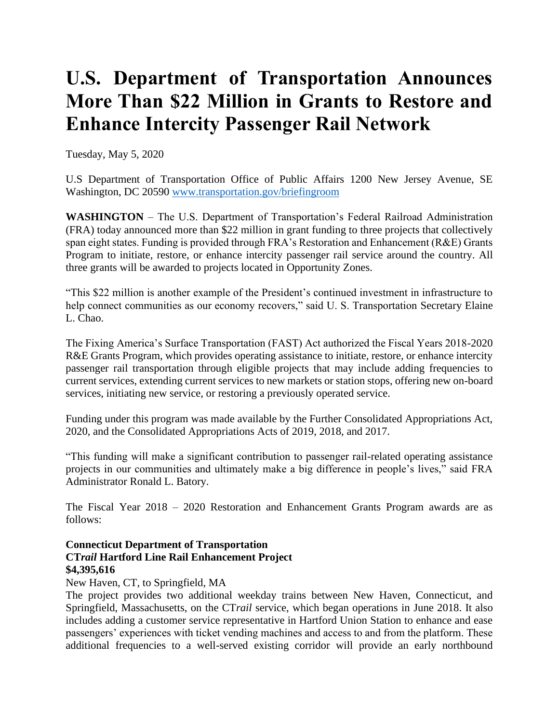# **U.S. Department of Transportation Announces More Than \$22 Million in Grants to Restore and Enhance Intercity Passenger Rail Network**

Tuesday, May 5, 2020

U.S Department of Transportation Office of Public Affairs 1200 New Jersey Avenue, SE Washington, DC 20590 [www.transportation.gov/briefingroom](http://www.transportation.gov/briefingroom)

**WASHINGTON** – The U.S. Department of Transportation's Federal Railroad Administration (FRA) today announced more than \$22 million in grant funding to three projects that collectively span eight states. Funding is provided through FRA's Restoration and Enhancement (R&E) Grants Program to initiate, restore, or enhance intercity passenger rail service around the country. All three grants will be awarded to projects located in Opportunity Zones.

"This \$22 million is another example of the President's continued investment in infrastructure to help connect communities as our economy recovers," said U. S. Transportation Secretary Elaine L. Chao.

The Fixing America's Surface Transportation (FAST) Act authorized the Fiscal Years 2018-2020 R&E Grants Program, which provides operating assistance to initiate, restore, or enhance intercity passenger rail transportation through eligible projects that may include adding frequencies to current services, extending current services to new markets or station stops, offering new on-board services, initiating new service, or restoring a previously operated service.

Funding under this program was made available by the Further Consolidated Appropriations Act, 2020, and the Consolidated Appropriations Acts of 2019, 2018, and 2017.

"This funding will make a significant contribution to passenger rail-related operating assistance projects in our communities and ultimately make a big difference in people's lives," said FRA Administrator Ronald L. Batory.

The Fiscal Year 2018 – 2020 Restoration and Enhancement Grants Program awards are as follows:

## **Connecticut Department of Transportation CT***rail* **Hartford Line Rail Enhancement Project \$4,395,616**

#### New Haven, CT, to Springfield, MA

The project provides two additional weekday trains between New Haven, Connecticut, and Springfield, Massachusetts, on the CT*rail* service, which began operations in June 2018. It also includes adding a customer service representative in Hartford Union Station to enhance and ease passengers' experiences with ticket vending machines and access to and from the platform. These additional frequencies to a well-served existing corridor will provide an early northbound